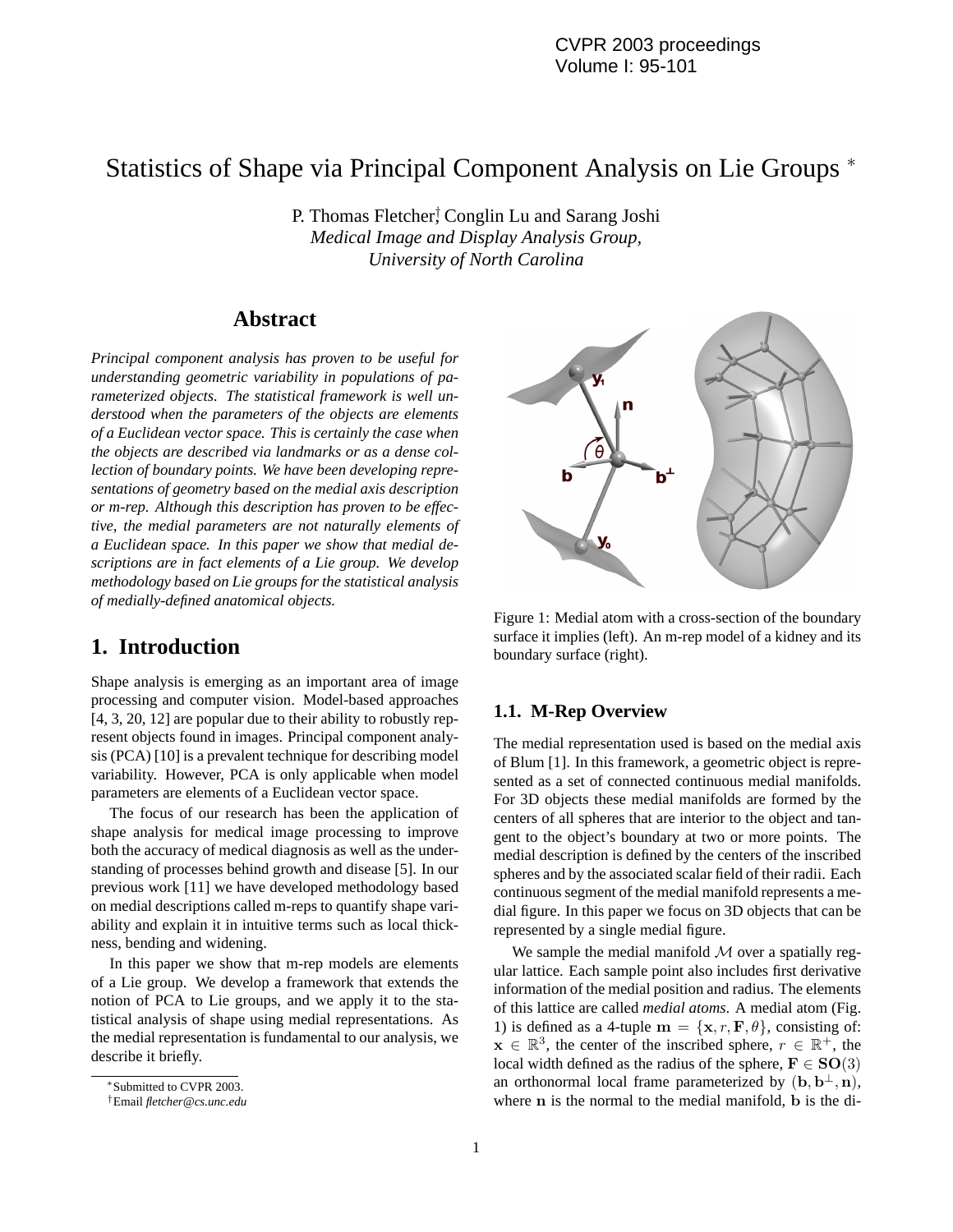# Statistics of Shape via Principal Component Analysis on Lie Groups <sup>∗</sup>

P. Thomas Fletcher† , Conglin Lu and Sarang Joshi *Medical Image and Display Analysis Group, University of North Carolina*

# **Abstract**

*Principal component analysis has proven to be useful for understanding geometric variability in populations of parameterized objects. The statistical framework is well understood when the parameters of the objects are elements of a Euclidean vector space. This is certainly the case when the objects are described via landmarks or as a dense collection of boundary points. We have been developing representations of geometry based on the medial axis description or m-rep. Although this description has proven to be effective, the medial parameters are not naturally elements of a Euclidean space. In this paper we show that medial descriptions are in fact elements of a Lie group. We develop methodology based on Lie groups for the statistical analysis of medially-defined anatomical objects.*

# **1. Introduction**

Shape analysis is emerging as an important area of image processing and computer vision. Model-based approaches [4, 3, 20, 12] are popular due to their ability to robustly represent objects found in images. Principal component analysis (PCA) [10] is a prevalent technique for describing model variability. However, PCA is only applicable when model parameters are elements of a Euclidean vector space.

The focus of our research has been the application of shape analysis for medical image processing to improve both the accuracy of medical diagnosis as well as the understanding of processes behind growth and disease [5]. In our previous work [11] we have developed methodology based on medial descriptions called m-reps to quantify shape variability and explain it in intuitive terms such as local thickness, bending and widening.

In this paper we show that m-rep models are elements of a Lie group. We develop a framework that extends the notion of PCA to Lie groups, and we apply it to the statistical analysis of shape using medial representations. As the medial representation is fundamental to our analysis, we describe it briefly.



Figure 1: Medial atom with a cross-section of the boundary surface it implies (left). An m-rep model of a kidney and its boundary surface (right).

## **1.1. M-Rep Overview**

The medial representation used is based on the medial axis of Blum [1]. In this framework, a geometric object is represented as a set of connected continuous medial manifolds. For 3D objects these medial manifolds are formed by the centers of all spheres that are interior to the object and tangent to the object's boundary at two or more points. The medial description is defined by the centers of the inscribed spheres and by the associated scalar field of their radii. Each continuous segment of the medial manifold represents a medial figure. In this paper we focus on 3D objects that can be represented by a single medial figure.

We sample the medial manifold  $M$  over a spatially regular lattice. Each sample point also includes first derivative information of the medial position and radius. The elements of this lattice are called *medial atoms*. A medial atom (Fig. 1) is defined as a 4-tuple  $\mathbf{m} = {\mathbf{x}, r, \mathbf{F}, \theta}$ , consisting of:  $\mathbf{x} \in \mathbb{R}^3$ , the center of the inscribed sphere,  $r \in \mathbb{R}^+$ , the local width defined as the radius of the sphere,  $\mathbf{F} \in SO(3)$ an orthonormal local frame parameterized by  $(\mathbf{b}, \mathbf{b}^{\perp}, \mathbf{n})$ , where **n** is the normal to the medial manifold, **b** is the di-

<sup>∗</sup>Submitted to CVPR 2003.

<sup>†</sup>Email *fletcher@cs.unc.edu*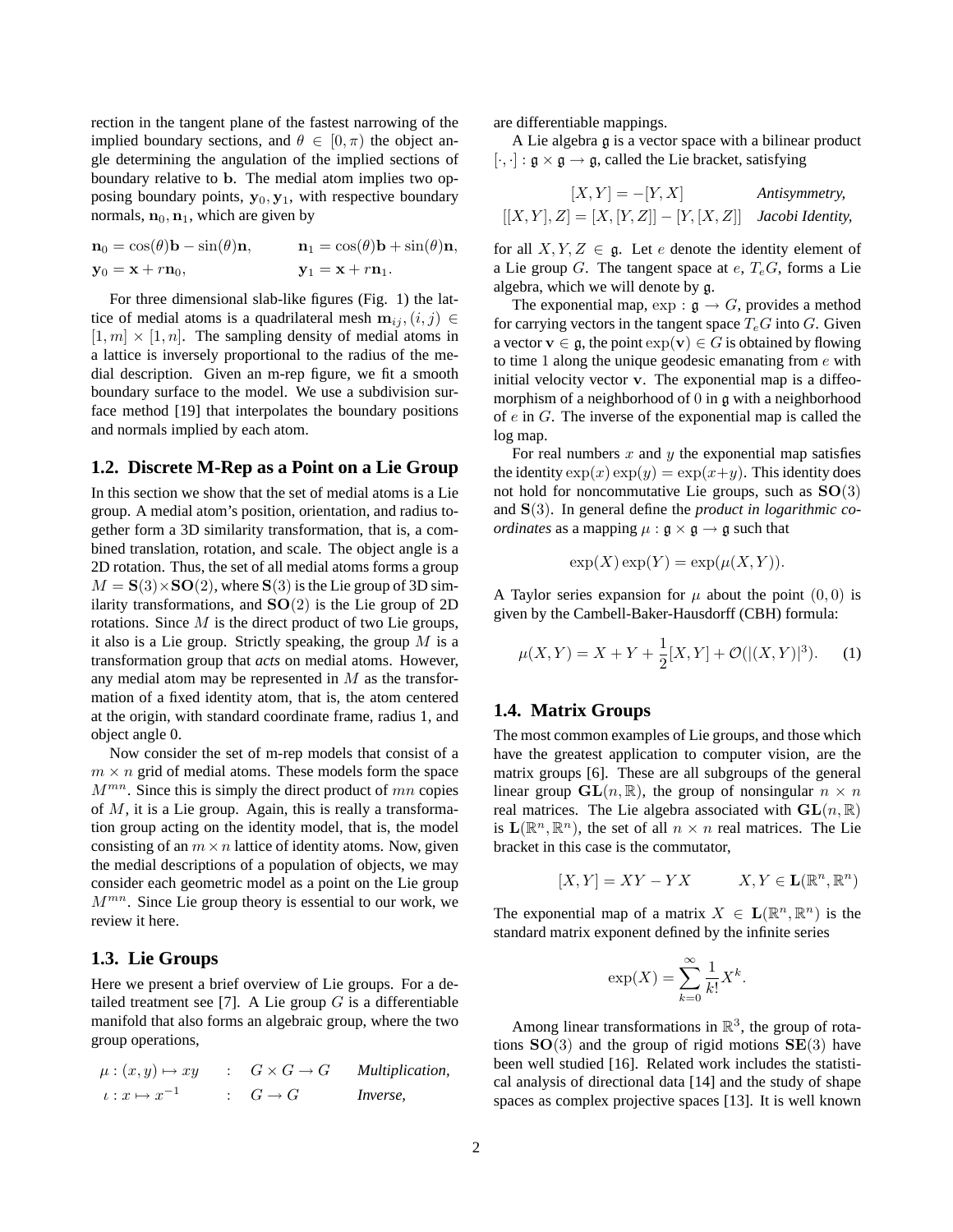rection in the tangent plane of the fastest narrowing of the implied boundary sections, and  $\theta \in [0, \pi)$  the object angle determining the angulation of the implied sections of boundary relative to b. The medial atom implies two opposing boundary points,  $y_0, y_1$ , with respective boundary normals,  $n_0$ ,  $n_1$ , which are given by

$$
\mathbf{n}_0 = \cos(\theta)\mathbf{b} - \sin(\theta)\mathbf{n}, \qquad \mathbf{n}_1 = \cos(\theta)\mathbf{b} + \sin(\theta)\mathbf{n},
$$
  

$$
\mathbf{y}_0 = \mathbf{x} + r\mathbf{n}_0, \qquad \mathbf{y}_1 = \mathbf{x} + r\mathbf{n}_1.
$$

For three dimensional slab-like figures (Fig. 1) the lattice of medial atoms is a quadrilateral mesh  $m_{i,j}$ ,  $(i, j) \in$  $[1, m] \times [1, n]$ . The sampling density of medial atoms in a lattice is inversely proportional to the radius of the medial description. Given an m-rep figure, we fit a smooth boundary surface to the model. We use a subdivision surface method [19] that interpolates the boundary positions and normals implied by each atom.

### **1.2. Discrete M-Rep as a Point on a Lie Group**

In this section we show that the set of medial atoms is a Lie group. A medial atom's position, orientation, and radius together form a 3D similarity transformation, that is, a combined translation, rotation, and scale. The object angle is a 2D rotation. Thus, the set of all medial atoms forms a group  $M = S(3) \times SO(2)$ , where  $S(3)$  is the Lie group of 3D similarity transformations, and  $SO(2)$  is the Lie group of 2D rotations. Since  $M$  is the direct product of two Lie groups, it also is a Lie group. Strictly speaking, the group  $M$  is a transformation group that *acts* on medial atoms. However, any medial atom may be represented in  $M$  as the transformation of a fixed identity atom, that is, the atom centered at the origin, with standard coordinate frame, radius 1, and object angle 0.

Now consider the set of m-rep models that consist of a  $m \times n$  grid of medial atoms. These models form the space  $M^{mn}$ . Since this is simply the direct product of mn copies of  $M$ , it is a Lie group. Again, this is really a transformation group acting on the identity model, that is, the model consisting of an  $m \times n$  lattice of identity atoms. Now, given the medial descriptions of a population of objects, we may consider each geometric model as a point on the Lie group  $M^{mn}$ . Since Lie group theory is essential to our work, we review it here.

### **1.3. Lie Groups**

Here we present a brief overview of Lie groups. For a detailed treatment see [7]. A Lie group  $G$  is a differentiable manifold that also forms an algebraic group, where the two group operations,

 $\mu: (x, y) \mapsto xy$  :  $G \times G \rightarrow G$  *Multiplication,*  $\iota: x \mapsto x^{-1}$  :  $G \to G$  *Inverse,* 

are differentiable mappings.

A Lie algebra g is a vector space with a bilinear product  $[\cdot, \cdot] : \mathfrak{g} \times \mathfrak{g} \to \mathfrak{g}$ , called the Lie bracket, satisfying

$$
[X, Y] = -[Y, X] \qquad \text{Antisymmetry},
$$

$$
[[X, Y], Z] = [X, [Y, Z]] - [Y, [X, Z]] \qquad \text{Jacobi Identity},
$$

for all  $X, Y, Z \in \mathfrak{g}$ . Let e denote the identity element of a Lie group G. The tangent space at  $e$ ,  $T_eG$ , forms a Lie algebra, which we will denote by g.

The exponential map,  $\exp : \mathfrak{g} \to G$ , provides a method for carrying vectors in the tangent space  $T_eG$  into G. Given a vector  $\mathbf{v} \in \mathfrak{g}$ , the point  $\exp(\mathbf{v}) \in G$  is obtained by flowing to time 1 along the unique geodesic emanating from  $e$  with initial velocity vector v. The exponential map is a diffeomorphism of a neighborhood of 0 in g with a neighborhood of  $e$  in  $G$ . The inverse of the exponential map is called the log map.

For real numbers  $x$  and  $y$  the exponential map satisfies the identity  $\exp(x) \exp(y) = \exp(x+y)$ . This identity does not hold for noncommutative Lie groups, such as  $SO(3)$ and S(3). In general define the *product in logarithmic coordinates* as a mapping  $\mu$ :  $\mathfrak{g} \times \mathfrak{g} \rightarrow \mathfrak{g}$  such that

$$
\exp(X)\exp(Y) = \exp(\mu(X, Y)).
$$

A Taylor series expansion for  $\mu$  about the point  $(0, 0)$  is given by the Cambell-Baker-Hausdorff (CBH) formula:

$$
\mu(X, Y) = X + Y + \frac{1}{2}[X, Y] + \mathcal{O}(|(X, Y)|^3). \tag{1}
$$

### **1.4. Matrix Groups**

The most common examples of Lie groups, and those which have the greatest application to computer vision, are the matrix groups [6]. These are all subgroups of the general linear group  $GL(n, \mathbb{R})$ , the group of nonsingular  $n \times n$ real matrices. The Lie algebra associated with  $GL(n, \mathbb{R})$ is  $\mathbf{L}(\mathbb{R}^n, \mathbb{R}^n)$ , the set of all  $n \times n$  real matrices. The Lie bracket in this case is the commutator,

$$
[X,Y] = XY - YX \qquad X, Y \in \mathbf{L}(\mathbb{R}^n, \mathbb{R}^n)
$$

The exponential map of a matrix  $X \in \mathbf{L}(\mathbb{R}^n, \mathbb{R}^n)$  is the standard matrix exponent defined by the infinite series

$$
\exp(X) = \sum_{k=0}^{\infty} \frac{1}{k!} X^k.
$$

Among linear transformations in  $\mathbb{R}^3$ , the group of rotations  $SO(3)$  and the group of rigid motions  $SE(3)$  have been well studied [16]. Related work includes the statistical analysis of directional data [14] and the study of shape spaces as complex projective spaces [13]. It is well known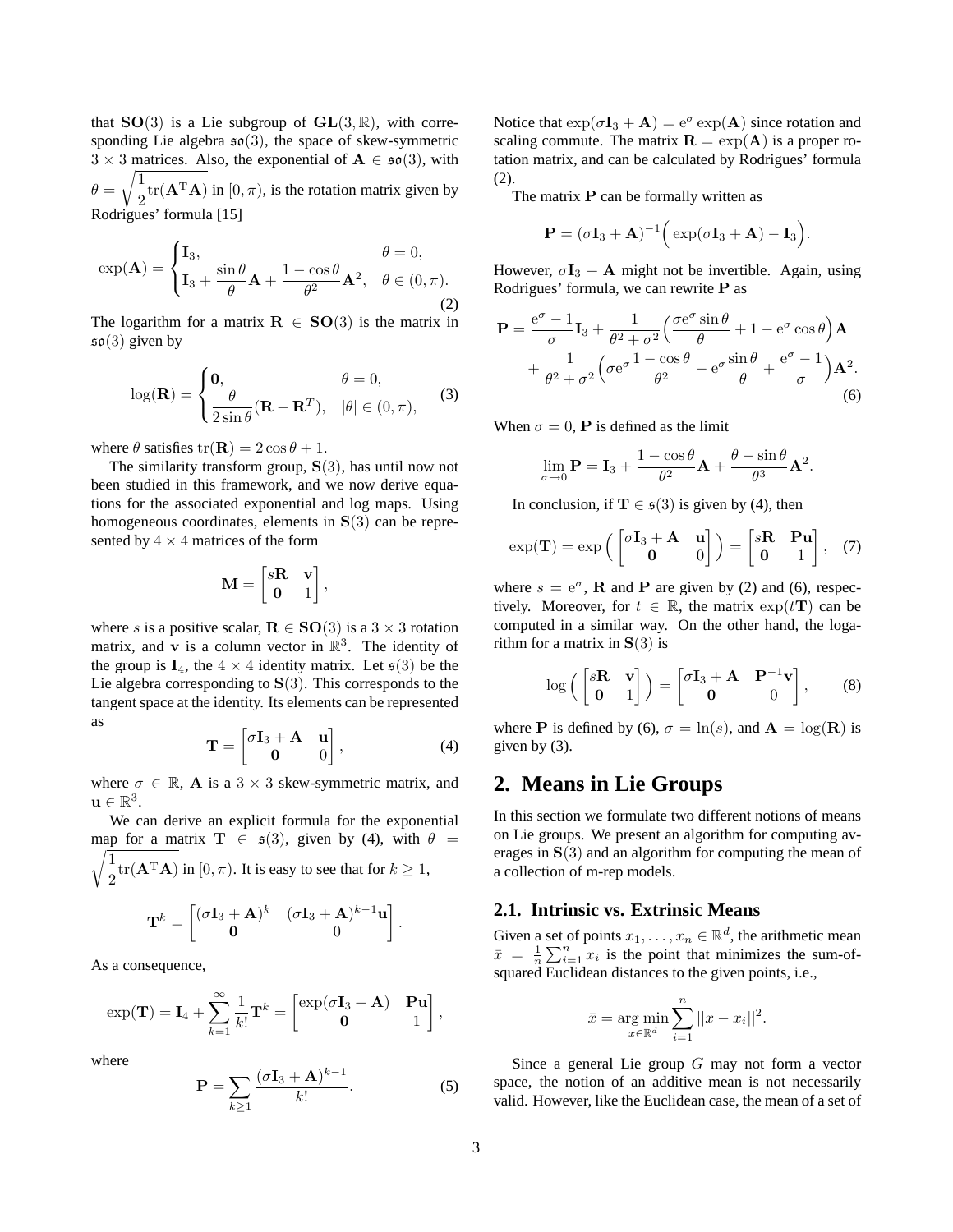that  $SO(3)$  is a Lie subgroup of  $GL(3,\mathbb{R})$ , with corresponding Lie algebra  $\mathfrak{so}(3)$ , the space of skew-symmetric  $3 \times 3$  matrices. Also, the exponential of  $A \in \mathfrak{so}(3)$ , with  $\theta = \sqrt{\frac{1}{2}}$  $\frac{1}{2}$ tr( $\mathbf{A}^T\mathbf{A}$ ) in  $[0, \pi)$ , is the rotation matrix given by Rodrigues' formula [15]

$$
\exp(\mathbf{A}) = \begin{cases} \mathbf{I}_3, & \theta = 0, \\ \mathbf{I}_3 + \frac{\sin \theta}{\theta} \mathbf{A} + \frac{1 - \cos \theta}{\theta^2} \mathbf{A}^2, & \theta \in (0, \pi). \end{cases}
$$
(2)

The logarithm for a matrix  $\mathbf{R} \in \mathbf{SO}(3)$  is the matrix in  $\mathfrak{so}(3)$  given by

$$
\log(\mathbf{R}) = \begin{cases} \n\mathbf{0}, & \theta = 0, \\ \n\frac{\theta}{2\sin\theta}(\mathbf{R} - \mathbf{R}^T), & |\theta| \in (0, \pi), \n\end{cases}
$$
\n(3)

where  $\theta$  satisfies tr(**R**) =  $2 \cos \theta + 1$ .

The similarity transform group,  $S(3)$ , has until now not been studied in this framework, and we now derive equations for the associated exponential and log maps. Using homogeneous coordinates, elements in  $S(3)$  can be represented by  $4 \times 4$  matrices of the form

$$
\mathbf{M} = \begin{bmatrix} s\mathbf{R} & \mathbf{v} \\ \mathbf{0} & 1 \end{bmatrix},
$$

where s is a positive scalar,  $\mathbf{R} \in \mathbf{SO}(3)$  is a  $3 \times 3$  rotation matrix, and v is a column vector in  $\mathbb{R}^3$ . The identity of the group is  $I_4$ , the  $4 \times 4$  identity matrix. Let  $\mathfrak{s}(3)$  be the Lie algebra corresponding to  $S(3)$ . This corresponds to the tangent space at the identity. Its elements can be represented as ·  $\overline{a}$ 

$$
\mathbf{T} = \begin{bmatrix} \sigma \mathbf{I}_3 + \mathbf{A} & \mathbf{u} \\ \mathbf{0} & 0 \end{bmatrix}, \tag{4}
$$

where  $\sigma \in \mathbb{R}$ , **A** is a 3 × 3 skew-symmetric matrix, and  $\mathbf{u} \in \mathbb{R}^3$ .

We can derive an explicit formula for the exponential map for a matrix  $\mathbf{T} \in \mathfrak{s}(3)$ , given by (4), with  $\theta =$ 1  $\frac{1}{2}$ tr(**A**T**A**) in [0,  $\pi$ ). It is easy to see that for  $k \ge 1$ , ·  $\overline{a}$ 

$$
\mathbf{T}^{k} = \begin{bmatrix} (\sigma \mathbf{I}_{3} + \mathbf{A})^{k} & (\sigma \mathbf{I}_{3} + \mathbf{A})^{k-1} \mathbf{u} \\ \mathbf{0} & 0 \end{bmatrix}.
$$

As a consequence,

$$
\exp(\mathbf{T}) = \mathbf{I}_4 + \sum_{k=1}^{\infty} \frac{1}{k!} \mathbf{T}^k = \begin{bmatrix} \exp(\sigma \mathbf{I}_3 + \mathbf{A}) & \mathbf{P} \mathbf{u} \\ \mathbf{0} & 1 \end{bmatrix},
$$

where

$$
\mathbf{P} = \sum_{k \ge 1} \frac{(\sigma \mathbf{I}_3 + \mathbf{A})^{k-1}}{k!}.
$$
 (5)

Notice that  $\exp(\sigma \mathbf{I}_3 + \mathbf{A}) = e^{\sigma} \exp(\mathbf{A})$  since rotation and scaling commute. The matrix  $\mathbf{R} = \exp(\mathbf{A})$  is a proper rotation matrix, and can be calculated by Rodrigues' formula (2).

The matrix  $P$  can be formally written as

$$
\mathbf{P} = (\sigma \mathbf{I}_3 + \mathbf{A})^{-1} \Big( \exp(\sigma \mathbf{I}_3 + \mathbf{A}) - \mathbf{I}_3 \Big).
$$

However,  $\sigma I_3 + A$  might not be invertible. Again, using Rodrigues' formula, we can rewrite P as

$$
\mathbf{P} = \frac{e^{\sigma} - 1}{\sigma} \mathbf{I}_3 + \frac{1}{\theta^2 + \sigma^2} \left( \frac{\sigma e^{\sigma} \sin \theta}{\theta} + 1 - e^{\sigma} \cos \theta \right) \mathbf{A} + \frac{1}{\theta^2 + \sigma^2} \left( \sigma e^{\sigma} \frac{1 - \cos \theta}{\theta^2} - e^{\sigma} \frac{\sin \theta}{\theta} + \frac{e^{\sigma} - 1}{\sigma} \right) \mathbf{A}^2.
$$
(6)

When  $\sigma = 0$ , **P** is defined as the limit

$$
\lim_{\sigma \to 0} \mathbf{P} = \mathbf{I}_3 + \frac{1 - \cos \theta}{\theta^2} \mathbf{A} + \frac{\theta - \sin \theta}{\theta^3} \mathbf{A}^2.
$$

In conclusion, if **T**  $\in$   $\mathfrak{s}(3)$  is given by (4), then

$$
\exp(\mathbf{T}) = \exp\left(\begin{bmatrix} \sigma \mathbf{I}_3 + \mathbf{A} & \mathbf{u} \\ \mathbf{0} & 0 \end{bmatrix}\right) = \begin{bmatrix} s\mathbf{R} & \mathbf{P}\mathbf{u} \\ \mathbf{0} & 1 \end{bmatrix}, \quad (7)
$$

where  $s = e^{\sigma}$ , **R** and **P** are given by (2) and (6), respectively. Moreover, for  $t \in \mathbb{R}$ , the matrix  $\exp(tT)$  can be computed in a similar way. On the other hand, the logarithm for a matrix in  $S(3)$  is

$$
\log \left( \begin{bmatrix} s\mathbf{R} & \mathbf{v} \\ \mathbf{0} & 1 \end{bmatrix} \right) = \begin{bmatrix} \sigma \mathbf{I}_3 + \mathbf{A} & \mathbf{P}^{-1} \mathbf{v} \\ \mathbf{0} & 0 \end{bmatrix}, \quad (8)
$$

where **P** is defined by (6),  $\sigma = \ln(s)$ , and  $\mathbf{A} = \log(\mathbf{R})$  is given by (3).

## **2. Means in Lie Groups**

In this section we formulate two different notions of means on Lie groups. We present an algorithm for computing averages in  $S(3)$  and an algorithm for computing the mean of a collection of m-rep models.

### **2.1. Intrinsic vs. Extrinsic Means**

Given a set of points  $x_1, \ldots, x_n \in \mathbb{R}^d$ , the arithmetic mean  $\bar{x} = \frac{1}{n} \sum_{i=1}^{n} x_i$  is the point that minimizes the sum-ofsquared Euclidean distances to the given points, i.e.,

$$
\bar{x} = \underset{x \in \mathbb{R}^d}{\arg \min} \sum_{i=1}^n ||x - x_i||^2.
$$

Since a general Lie group  $G$  may not form a vector space, the notion of an additive mean is not necessarily valid. However, like the Euclidean case, the mean of a set of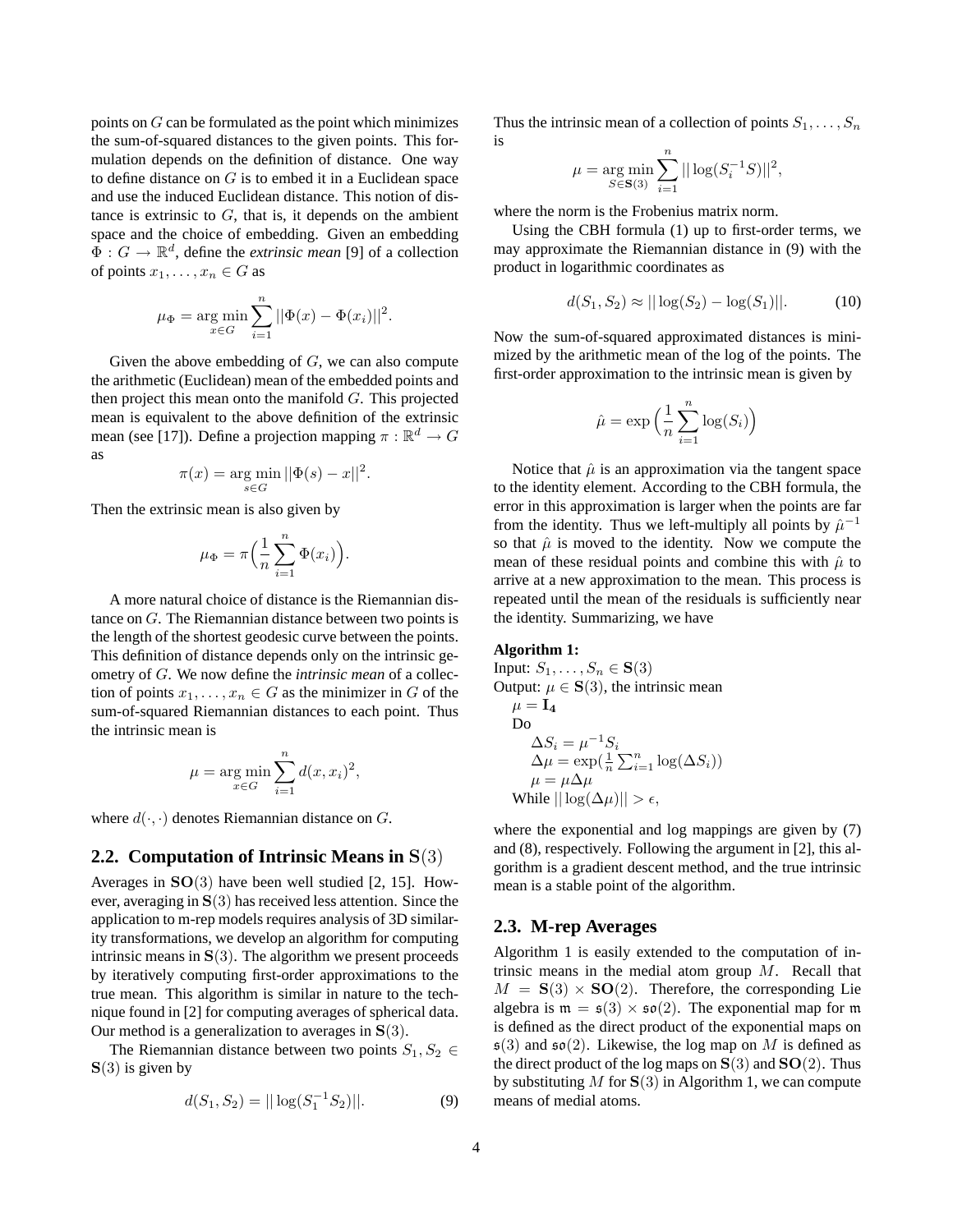points on G can be formulated as the point which minimizes the sum-of-squared distances to the given points. This formulation depends on the definition of distance. One way to define distance on  $G$  is to embed it in a Euclidean space and use the induced Euclidean distance. This notion of distance is extrinsic to  $G$ , that is, it depends on the ambient space and the choice of embedding. Given an embedding  $\Phi: G \to \mathbb{R}^d$ , define the *extrinsic mean* [9] of a collection of points  $x_1, \ldots, x_n \in G$  as

$$
\mu_{\Phi} = \underset{x \in G}{\arg \min} \sum_{i=1}^{n} ||\Phi(x) - \Phi(x_i)||^2.
$$

Given the above embedding of G, we can also compute the arithmetic (Euclidean) mean of the embedded points and then project this mean onto the manifold  $G$ . This projected mean is equivalent to the above definition of the extrinsic mean (see [17]). Define a projection mapping  $\pi : \mathbb{R}^d \to G$ as

$$
\pi(x) = \underset{s \in G}{\text{arg min}} ||\Phi(s) - x||^2.
$$

Then the extrinsic mean is also given by

$$
\mu_{\Phi} = \pi \left( \frac{1}{n} \sum_{i=1}^{n} \Phi(x_i) \right)
$$

.

A more natural choice of distance is the Riemannian distance on G. The Riemannian distance between two points is the length of the shortest geodesic curve between the points. This definition of distance depends only on the intrinsic geometry of G. We now define the *intrinsic mean* of a collection of points  $x_1, \ldots, x_n \in G$  as the minimizer in G of the sum-of-squared Riemannian distances to each point. Thus the intrinsic mean is

$$
\mu = \underset{x \in G}{\arg \min} \sum_{i=1}^{n} d(x, x_i)^2,
$$

where  $d(\cdot, \cdot)$  denotes Riemannian distance on G.

### **2.2. Computation of Intrinsic Means in** S(3)

Averages in  $SO(3)$  have been well studied [2, 15]. However, averaging in  $S(3)$  has received less attention. Since the application to m-rep models requires analysis of 3D similarity transformations, we develop an algorithm for computing intrinsic means in  $S(3)$ . The algorithm we present proceeds by iteratively computing first-order approximations to the true mean. This algorithm is similar in nature to the technique found in [2] for computing averages of spherical data. Our method is a generalization to averages in  $S(3)$ .

The Riemannian distance between two points  $S_1, S_2 \in$  $S(3)$  is given by

$$
d(S_1, S_2) = ||\log(S_1^{-1}S_2)||. \tag{9}
$$

Thus the intrinsic mean of a collection of points  $S_1, \ldots, S_n$ is

$$
\mu = \underset{S \in \mathbf{S}(3)}{\arg \min} \sum_{i=1}^{n} ||\log(S_i^{-1}S)||^2,
$$

where the norm is the Frobenius matrix norm.

Using the CBH formula (1) up to first-order terms, we may approximate the Riemannian distance in (9) with the product in logarithmic coordinates as

$$
d(S_1, S_2) \approx ||\log(S_2) - \log(S_1)||. \tag{10}
$$

Now the sum-of-squared approximated distances is minimized by the arithmetic mean of the log of the points. The first-order approximation to the intrinsic mean is given by

$$
\hat{\mu} = \exp\left(\frac{1}{n} \sum_{i=1}^{n} \log(S_i)\right)
$$

Notice that  $\hat{\mu}$  is an approximation via the tangent space to the identity element. According to the CBH formula, the error in this approximation is larger when the points are far from the identity. Thus we left-multiply all points by  $\hat{\mu}^{-1}$ so that  $\hat{\mu}$  is moved to the identity. Now we compute the mean of these residual points and combine this with  $\hat{\mu}$  to arrive at a new approximation to the mean. This process is repeated until the mean of the residuals is sufficiently near the identity. Summarizing, we have

#### **Algorithm 1:**

Input: 
$$
S_1, ..., S_n \in \mathbf{S}(3)
$$
  
\nOutput:  $\mu \in \mathbf{S}(3)$ , the intrinsic mean  
\n $\mu = \mathbf{I}_4$   
\nDo  
\n $\Delta S_i = \mu^{-1} S_i$   
\n $\Delta \mu = \exp(\frac{1}{n} \sum_{i=1}^n \log(\Delta S_i))$   
\n $\mu = \mu \Delta \mu$   
\nWhile  $|| \log(\Delta \mu) || > \epsilon$ ,

where the exponential and log mappings are given by (7) and (8), respectively. Following the argument in [2], this algorithm is a gradient descent method, and the true intrinsic mean is a stable point of the algorithm.

### **2.3. M-rep Averages**

Algorithm 1 is easily extended to the computation of intrinsic means in the medial atom group  $M$ . Recall that  $M = S(3) \times SO(2)$ . Therefore, the corresponding Lie algebra is  $m = \epsilon(3) \times \epsilon(2)$ . The exponential map for m is defined as the direct product of the exponential maps on  $\mathfrak{s}(3)$  and  $\mathfrak{so}(2)$ . Likewise, the log map on M is defined as the direct product of the log maps on  $S(3)$  and  $SO(2)$ . Thus by substituting M for  $S(3)$  in Algorithm 1, we can compute means of medial atoms.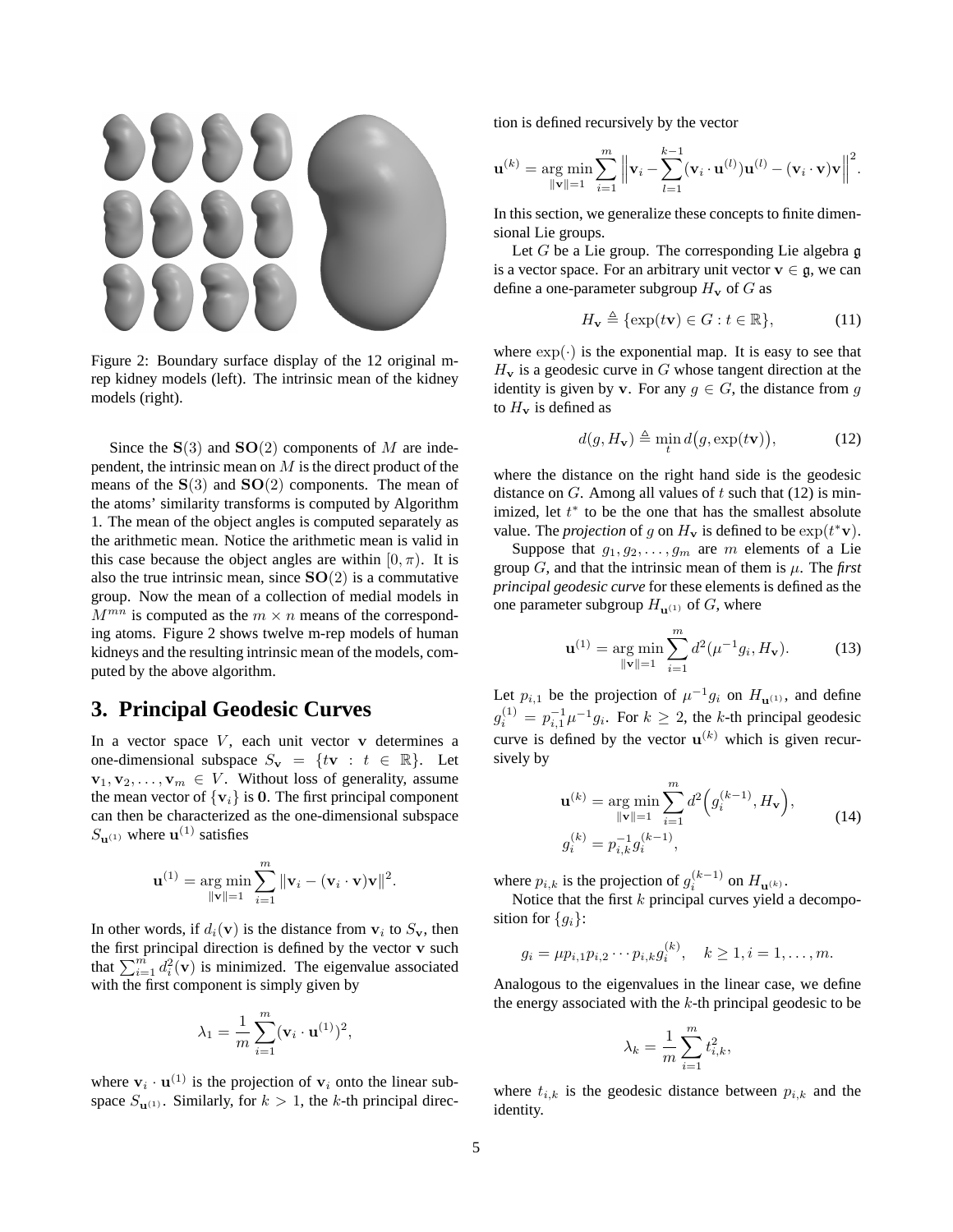Figure 2: Boundary surface display of the 12 original mrep kidney models (left). The intrinsic mean of the kidney models (right).

Since the  $S(3)$  and  $SO(2)$  components of M are independent, the intrinsic mean on  $M$  is the direct product of the means of the  $S(3)$  and  $SO(2)$  components. The mean of the atoms' similarity transforms is computed by Algorithm 1. The mean of the object angles is computed separately as the arithmetic mean. Notice the arithmetic mean is valid in this case because the object angles are within  $[0, \pi)$ . It is also the true intrinsic mean, since  $SO(2)$  is a commutative group. Now the mean of a collection of medial models in  $M^{mn}$  is computed as the  $m \times n$  means of the corresponding atoms. Figure 2 shows twelve m-rep models of human kidneys and the resulting intrinsic mean of the models, computed by the above algorithm.

# **3. Principal Geodesic Curves**

In a vector space  $V$ , each unit vector  $\bf{v}$  determines a one-dimensional subspace  $S_{\mathbf{v}} = \{tv : t \in \mathbb{R}\}.$  Let  $\mathbf{v}_1, \mathbf{v}_2, \dots, \mathbf{v}_m \in V$ . Without loss of generality, assume the mean vector of  $\{v_i\}$  is 0. The first principal component can then be characterized as the one-dimensional subspace  $S_{\mathbf{u}^{(1)}}$  where  $\mathbf{u}^{(1)}$  satisfies

$$
\mathbf{u}^{(1)} = \arg\min_{\|\mathbf{v}\|=1} \sum_{i=1}^{m} \|\mathbf{v}_i - (\mathbf{v}_i \cdot \mathbf{v})\mathbf{v}\|^2.
$$

In other words, if  $d_i(\mathbf{v})$  is the distance from  $v_i$  to  $S_v$ , then the first principal direction is defined by the vector v such the first principal direction is defined by the vector **v** such that  $\sum_{i=1}^{m} d_i^2(\mathbf{v})$  is minimized. The eigenvalue associated with the first component is simply given by

$$
\lambda_1 = \frac{1}{m} \sum_{i=1}^m (\mathbf{v}_i \cdot \mathbf{u}^{(1)})^2,
$$

where  $v_i \cdot u^{(1)}$  is the projection of  $v_i$  onto the linear subspace  $S_{\mathbf{u}^{(1)}}$ . Similarly, for  $k > 1$ , the k-th principal direction is defined recursively by the vector

$$
\mathbf{u}^{(k)} = \arg \min_{\|\mathbf{v}\|=1} \sum_{i=1}^m \left\| \mathbf{v}_i - \sum_{l=1}^{k-1} (\mathbf{v}_i \cdot \mathbf{u}^{(l)}) \mathbf{u}^{(l)} - (\mathbf{v}_i \cdot \mathbf{v}) \mathbf{v} \right\|^2.
$$

In this section, we generalize these concepts to finite dimensional Lie groups.

Let  $G$  be a Lie group. The corresponding Lie algebra  $\mathfrak g$ is a vector space. For an arbitrary unit vector  $\mathbf{v} \in \mathfrak{g}$ , we can define a one-parameter subgroup  $H_v$  of G as

$$
H_{\mathbf{v}} \triangleq \{\exp(t\mathbf{v}) \in G : t \in \mathbb{R}\},\tag{11}
$$

where  $\exp(\cdot)$  is the exponential map. It is easy to see that  $H<sub>v</sub>$  is a geodesic curve in G whose tangent direction at the identity is given by v. For any  $q \in G$ , the distance from g to  $H_v$  is defined as

$$
d(g, H_{\mathbf{v}}) \triangleq \min_{t} d(g, \exp(t\mathbf{v})), \tag{12}
$$

where the distance on the right hand side is the geodesic distance on  $G$ . Among all values of  $t$  such that (12) is minimized, let  $t^*$  to be the one that has the smallest absolute value. The *projection* of g on  $H_v$  is defined to be  $\exp(t^*v)$ .

Suppose that  $g_1, g_2, \ldots, g_m$  are m elements of a Lie group  $G$ , and that the intrinsic mean of them is  $\mu$ . The *first principal geodesic curve* for these elements is defined as the one parameter subgroup  $H_{\mathbf{u}^{(1)}}$  of G, where

$$
\mathbf{u}^{(1)} = \underset{\|\mathbf{v}\|=1}{\arg\min} \sum_{i=1}^{m} d^2(\mu^{-1}g_i, H_\mathbf{v}).
$$
 (13)

Let  $p_{i,1}$  be the projection of  $\mu^{-1}g_i$  on  $H_{\mathbf{u}^{(1)}}$ , and define  $g_i^{(1)} = p_{i,1}^{-1} \mu^{-1} g_i$ . For  $k \ge 2$ , the k-th principal geodesic curve is defined by the vector  $\mathbf{u}^{(k)}$  which is given recursively by

$$
\mathbf{u}^{(k)} = \underset{\|\mathbf{v}\|=1}{\arg \min} \sum_{i=1}^{m} d^2 \left( g_i^{(k-1)}, H_{\mathbf{v}} \right),
$$
  
\n
$$
g_i^{(k)} = p_{i,k}^{-1} g_i^{(k-1)},
$$
\n(14)

where  $p_{i,k}$  is the projection of  $g_i^{(k-1)}$  on  $H_{\mathbf{u}^{(k)}}$ .

Notice that the first  $k$  principal curves yield a decomposition for  ${g_i}$ :

$$
g_i = \mu p_{i,1} p_{i,2} \cdots p_{i,k} g_i^{(k)}, \quad k \ge 1, i = 1, \ldots, m.
$$

Analogous to the eigenvalues in the linear case, we define the energy associated with the  $k$ -th principal geodesic to be

$$
\lambda_k = \frac{1}{m} \sum_{i=1}^m t_{i,k}^2,
$$

where  $t_{i,k}$  is the geodesic distance between  $p_{i,k}$  and the identity.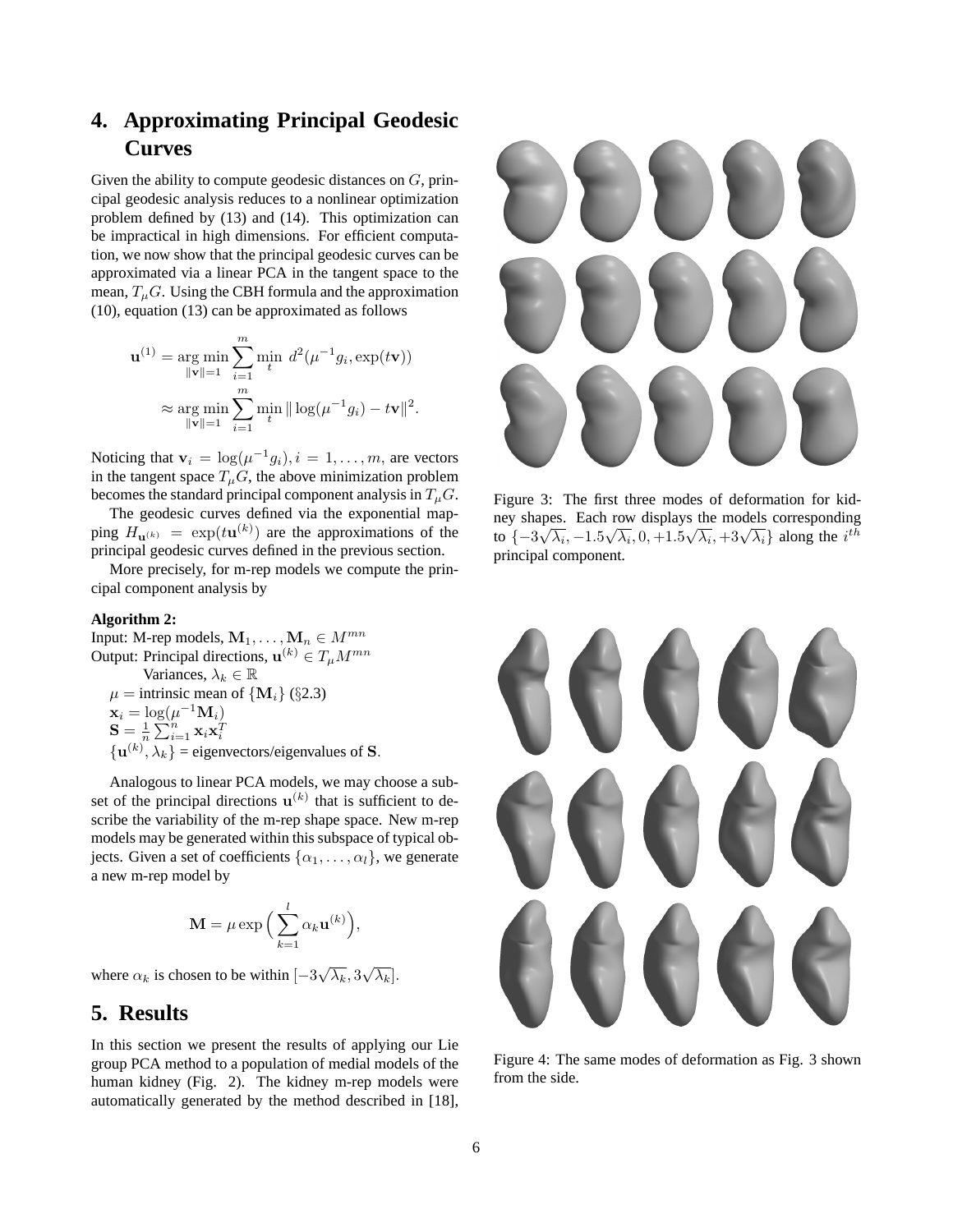# **4. Approximating Principal Geodesic Curves**

Given the ability to compute geodesic distances on  $G$ , principal geodesic analysis reduces to a nonlinear optimization problem defined by (13) and (14). This optimization can be impractical in high dimensions. For efficient computation, we now show that the principal geodesic curves can be approximated via a linear PCA in the tangent space to the mean,  $T_{\mu}G$ . Using the CBH formula and the approximation (10), equation (13) can be approximated as follows

$$
\mathbf{u}^{(1)} = \underset{\|\mathbf{v}\|=1}{\arg\min} \sum_{i=1}^{m} \underset{t}{\min} d^2(\mu^{-1}g_i, \exp(t\mathbf{v}))
$$

$$
\approx \underset{\|\mathbf{v}\|=1}{\arg\min} \sum_{i=1}^{m} \underset{t}{\min} \|\log(\mu^{-1}g_i) - t\mathbf{v}\|^2.
$$

Noticing that  $\mathbf{v}_i = \log(\mu^{-1} g_i), i = 1, \dots, m$ , are vectors in the tangent space  $T_{\mu}G$ , the above minimization problem becomes the standard principal component analysis in  $T_{\mu}G$ .

The geodesic curves defined via the exponential mapping  $H_{\mathbf{u}^{(k)}} = \exp(t\mathbf{u}^{(k)})$  are the approximations of the principal geodesic curves defined in the previous section.

More precisely, for m-rep models we compute the principal component analysis by

#### **Algorithm 2:**

Input: M-rep models,  $M_1, \ldots, M_n \in M^{mn}$ Output: Principal directions,  $\mathbf{u}^{(k)} \in T_{\mu} M^{mn}$ Variances,  $\lambda_k \in \mathbb{R}$  $\mu$  = intrinsic mean of {M<sub>i</sub>} (§2.3)  $\mathbf{x}_i = \log(\mu^{-1}\mathbf{M}_i)$  ${\bf S}=\frac{1}{n}$  $\sum_{i=1}^n \mathbf{x}_i \mathbf{x}_i^T$  $\{$ **u**<sup>(k)</sup>,  $\lambda_k$ } = eigenvectors/eigenvalues of **S**.

Analogous to linear PCA models, we may choose a subset of the principal directions  $\mathbf{u}^{(k)}$  that is sufficient to describe the variability of the m-rep shape space. New m-rep models may be generated within this subspace of typical objects. Given a set of coefficients  $\{\alpha_1, \dots, \alpha_l\}$ , we generate a new m-rep model by

$$
\mathbf{M} = \mu \exp\Big(\sum_{k=1}^l \alpha_k \mathbf{u}^{(k)}\Big),\,
$$

where  $\alpha_k$  is chosen to be within  $[-3\sqrt{\lambda_k}, 3\sqrt{\lambda_k}].$ 

# **5. Results**

In this section we present the results of applying our Lie group PCA method to a population of medial models of the human kidney (Fig. 2). The kidney m-rep models were automatically generated by the method described in [18],



Figure 3: The first three modes of deformation for kidney shapes. Each row displays the models corresponding to  $\{-3\sqrt{\lambda_i}, -1.5\sqrt{\lambda_i}, 0, +1.5\sqrt{\lambda_i}, +3\sqrt{\lambda_i}\}$  along the  $i^{th}$ principal component.



Figure 4: The same modes of deformation as Fig. 3 shown from the side.